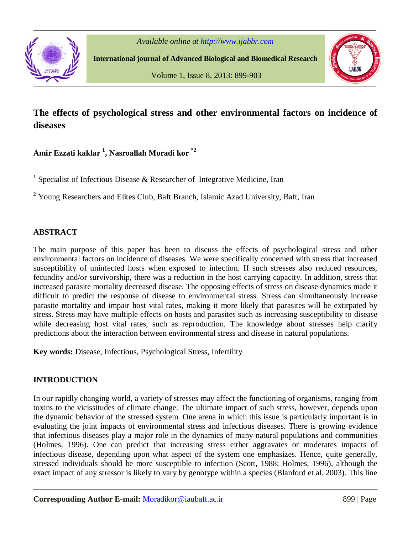*Available online at http://www.ijabbr.com*

**International journal of Advanced Biological and Biomedical Research**



Volume 1, Issue 8, 2013: 899-903

# **The effects of psychological stress and other environmental factors on incidence of diseases**

## **Amir Ezzati kaklar <sup>1</sup> , Nasroallah Moradi kor \*2**

<sup>1</sup> Specialist of Infectious Disease & Researcher of Integrative Medicine, Iran

 $2$  Young Researchers and Elites Club, Baft Branch, Islamic Azad University, Baft, Iran

## **ABSTRACT**

The main purpose of this paper has been to discuss the effects of psychological stress and other environmental factors on incidence of diseases. We were specifically concerned with stress that increased susceptibility of uninfected hosts when exposed to infection. If such stresses also reduced resources, fecundity and/or survivorship, there was a reduction in the host carrying capacity. In addition, stress that increased parasite mortality decreased disease. The opposing effects of stress on disease dynamics made it difficult to predict the response of disease to environmental stress. Stress can simultaneously increase parasite mortality and impair host vital rates, making it more likely that parasites will be extirpated by stress. Stress may have multiple effects on hosts and parasites such as increasing susceptibility to disease while decreasing host vital rates, such as reproduction. The knowledge about stresses help clarify predictions about the interaction between environmental stress and disease in natural populations.

**Key words:** Disease, Infectious, Psychological Stress, Infertility

## **INTRODUCTION**

In our rapidly changing world, a variety of stresses may affect the functioning of organisms, ranging from toxins to the vicissitudes of climate change. The ultimate impact of such stress, however, depends upon the dynamic behavior of the stressed system. One arena in which this issue is particularly important is in evaluating the joint impacts of environmental stress and infectious diseases. There is growing evidence that infectious diseases play a major role in the dynamics of many natural populations and communities (Holmes, 1996). One can predict that increasing stress either aggravates or moderates impacts of infectious disease, depending upon what aspect of the system one emphasizes. Hence, quite generally, stressed individuals should be more susceptible to infection (Scott, 1988; Holmes, 1996), although the exact impact of any stressor is likely to vary by genotype within a species (Blanford et al. 2003). This line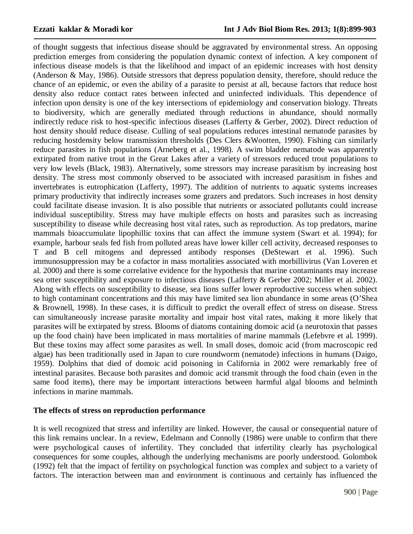of thought suggests that infectious disease should be aggravated by environmental stress. An opposing prediction emerges from considering the population dynamic context of infection. A key component of infectious disease models is that the likelihood and impact of an epidemic increases with host density (Anderson & May, 1986). Outside stressors that depress population density, therefore, should reduce the chance of an epidemic, or even the ability of a parasite to persist at all, because factors that reduce host density also reduce contact rates between infected and uninfected individuals. This dependence of infection upon density is one of the key intersections of epidemiology and conservation biology. Threats to biodiversity, which are generally mediated through reductions in abundance, should normally indirectly reduce risk to host-specific infectious diseases (Lafferty & Gerber, 2002). Direct reduction of host density should reduce disease. Culling of seal populations reduces intestinal nematode parasites by reducing hostdensity below transmission thresholds (Des Clers &Wootten, 1990). Fishing can similarly reduce parasites in fish populations (Arneberg et al., 1998). A swim bladder nematode was apparently extirpated from native trout in the Great Lakes after a variety of stressors reduced trout populations to very low levels (Black, 1983). Alternatively, some stressors may increase parasitism by increasing host density. The stress most commonly observed to be associated with increased parasitism in fishes and invertebrates is eutrophication (Lafferty, 1997). The addition of nutrients to aquatic systems increases primary productivity that indirectly increases some grazers and predators. Such increases in host density could facilitate disease invasion. It is also possible that nutrients or associated pollutants could increase individual susceptibility. Stress may have multiple effects on hosts and parasites such as increasing susceptibility to disease while decreasing host vital rates, such as reproduction. As top predators, marine mammals bioaccumulate lipophillic toxins that can affect the immune system (Swart et al. 1994); for example, harbour seals fed fish from polluted areas have lower killer cell activity, decreased responses to T and B cell mitogens and depressed antibody responses (DeStewart et al. 1996). Such immunosuppression may be a cofactor in mass mortalities associated with morbillivirus (Van Loveren et al. 2000) and there is some correlative evidence for the hypothesis that marine contaminants may increase sea otter susceptibility and exposure to infectious diseases (Lafferty & Gerber 2002; Miller et al. 2002). Along with effects on susceptibility to disease, sea lions suffer lower reproductive success when subject to high contaminant concentrations and this may have limited sea lion abundance in some areas (O'Shea & Brownell, 1998). In these cases, it is difficult to predict the overall effect of stress on disease. Stress can simultaneously increase parasite mortality and impair host vital rates, making it more likely that parasites will be extirpated by stress. Blooms of diatoms containing domoic acid (a neurotoxin that passes up the food chain) have been implicated in mass mortalities of marine mammals (Lefebvre et al. 1999). But these toxins may affect some parasites as well. In small doses, domoic acid (from macroscopic red algae) has been traditionally used in Japan to cure roundworm (nematode) infections in humans (Daigo, 1959). Dolphins that died of domoic acid poisoning in California in 2002 were remarkably free of intestinal parasites. Because both parasites and domoic acid transmit through the food chain (even in the same food items), there may be important interactions between harmful algal blooms and helminth infections in marine mammals.

## **The effects of stress on reproduction performance**

It is well recognized that stress and infertility are linked. However, the causal or consequential nature of this link remains unclear. In a review, Edelmann and Connolly (1986) were unable to confirm that there were psychological causes of infertility. They concluded that infertility clearly has psychological consequences for some couples, although the underlying mechanisms are poorly understood. Golombok (1992) felt that the impact of fertility on psychological function was complex and subject to a variety of factors. The interaction between man and environment is continuous and certainly has influenced the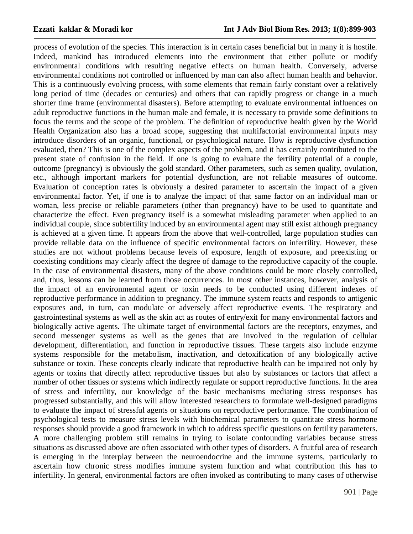process of evolution of the species. This interaction is in certain cases beneficial but in many it is hostile. Indeed, mankind has introduced elements into the environment that either pollute or modify environmental conditions with resulting negative effects on human health. Conversely, adverse environmental conditions not controlled or influenced by man can also affect human health and behavior. This is a continuously evolving process, with some elements that remain fairly constant over a relatively long period of time (decades or centuries) and others that can rapidly progress or change in a much shorter time frame (environmental disasters). Before attempting to evaluate environmental influences on adult reproductive functions in the human male and female, it is necessary to provide some definitions to focus the terms and the scope of the problem. The definition of reproductive health given by the World Health Organization also has a broad scope, suggesting that multifactorial environmental inputs may introduce disorders of an organic, functional, or psychological nature. How is reproductive dysfunction evaluated, then? This is one of the complex aspects of the problem, and it has certainly contributed to the present state of confusion in the field. If one is going to evaluate the fertility potential of a couple, outcome (pregnancy) is obviously the gold standard. Other parameters, such as semen quality, ovulation, etc., although important markers for potential dysfunction, are not reliable measures of outcome. Evaluation of conception rates is obviously a desired parameter to ascertain the impact of a given environmental factor. Yet, if one is to analyze the impact of that same factor on an individual man or woman, less precise or reliable parameters (other than pregnancy) have to be used to quantitate and characterize the effect. Even pregnancy itself is a somewhat misleading parameter when applied to an individual couple, since subfertility induced by an environmental agent may still exist although pregnancy is achieved at a given time. It appears from the above that well-controlled, large population studies can provide reliable data on the influence of specific environmental factors on infertility. However, these studies are not without problems because levels of exposure, length of exposure, and preexisting or coexisting conditions may clearly affect the degree of damage to the reproductive capacity of the couple. In the case of environmental disasters, many of the above conditions could be more closely controlled, and, thus, lessons can be learned from those occurrences. In most other instances, however, analysis of the impact of an environmental agent or toxin needs to be conducted using different indexes of reproductive performance in addition to pregnancy. The immune system reacts and responds to antigenic exposures and, in turn, can modulate or adversely affect reproductive events. The respiratory and gastrointestinal systems as well as the skin act as routes of entry/exit for many environmental factors and biologically active agents. The ultimate target of environmental factors are the receptors, enzymes, and second messenger systems as well as the genes that are involved in the regulation of cellular development, differentiation, and function in reproductive tissues. These targets also include enzyme systems responsible for the metabolism, inactivation, and detoxification of any biologically active substance or toxin. These concepts clearly indicate that reproductive health can be impaired not only by agents or toxins that directly affect reproductive tissues but also by substances or factors that affect a number of other tissues or systems which indirectly regulate or support reproductive functions. In the area of stress and infertility, our knowledge of the basic mechanisms mediating stress responses has progressed substantially, and this will allow interested researchers to formulate well-designed paradigms to evaluate the impact of stressful agents or situations on reproductive performance. The combination of psychological tests to measure stress levels with biochemical parameters to quantitate stress hormone responses should provide a good framework in which to address specific questions on fertility parameters. A more challenging problem still remains in trying to isolate confounding variables because stress situations as discussed above are often associated with other types of disorders. A fruitful area of research is emerging in the interplay between the neuroendocrine and the immune systems, particularly to ascertain how chronic stress modifies immune system function and what contribution this has to infertility. In general, environmental factors are often invoked as contributing to many cases of otherwise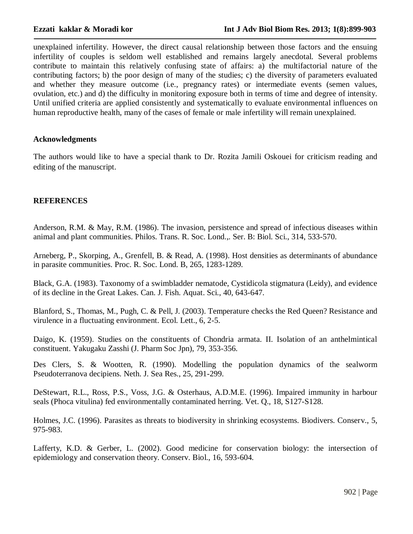unexplained infertility. However, the direct causal relationship between those factors and the ensuing infertility of couples is seldom well established and remains largely anecdotal. Several problems contribute to maintain this relatively confusing state of affairs: a) the multifactorial nature of the contributing factors; b) the poor design of many of the studies; c) the diversity of parameters evaluated and whether they measure outcome (i.e., pregnancy rates) or intermediate events (semen values, ovulation, etc.) and d) the difficulty in monitoring exposure both in terms of time and degree of intensity. Until unified criteria are applied consistently and systematically to evaluate environmental influences on human reproductive health, many of the cases of female or male infertility will remain unexplained.

## **Acknowledgments**

The authors would like to have a special thank to Dr. Rozita Jamili Oskouei for criticism reading and editing of the manuscript.

## **REFERENCES**

Anderson, R.M. & May, R.M. (1986). The invasion, persistence and spread of infectious diseases within animal and plant communities. Philos. Trans. R. Soc. Lond.,. Ser. B: Biol. Sci., 314, 533-570.

Arneberg, P., Skorping, A., Grenfell, B. & Read, A. (1998). Host densities as determinants of abundance in parasite communities. Proc. R. Soc. Lond. B, 265, 1283-1289.

Black, G.A. (1983). Taxonomy of a swimbladder nematode, Cystidicola stigmatura (Leidy), and evidence of its decline in the Great Lakes. Can. J. Fish. Aquat. Sci., 40, 643-647.

Blanford, S., Thomas, M., Pugh, C. & Pell, J. (2003). Temperature checks the Red Queen? Resistance and virulence in a fluctuating environment. Ecol. Lett., 6, 2-5.

Daigo, K. (1959). Studies on the constituents of Chondria armata. II. Isolation of an anthelmintical constituent. Yakugaku Zasshi (J. Pharm Soc Jpn), 79, 353-356.

Des Clers, S. & Wootten, R. (1990). Modelling the population dynamics of the sealworm Pseudoterranova decipiens. Neth. J. Sea Res., 25, 291-299.

DeStewart, R.L., Ross, P.S., Voss, J.G. & Osterhaus, A.D.M.E. (1996). Impaired immunity in harbour seals (Phoca vitulina) fed environmentally contaminated herring. Vet. Q., 18, S127-S128.

Holmes, J.C. (1996). Parasites as threats to biodiversity in shrinking ecosystems. Biodivers. Conserv., 5, 975-983.

Lafferty, K.D. & Gerber, L. (2002). Good medicine for conservation biology: the intersection of epidemiology and conservation theory. Conserv. Biol., 16, 593-604.